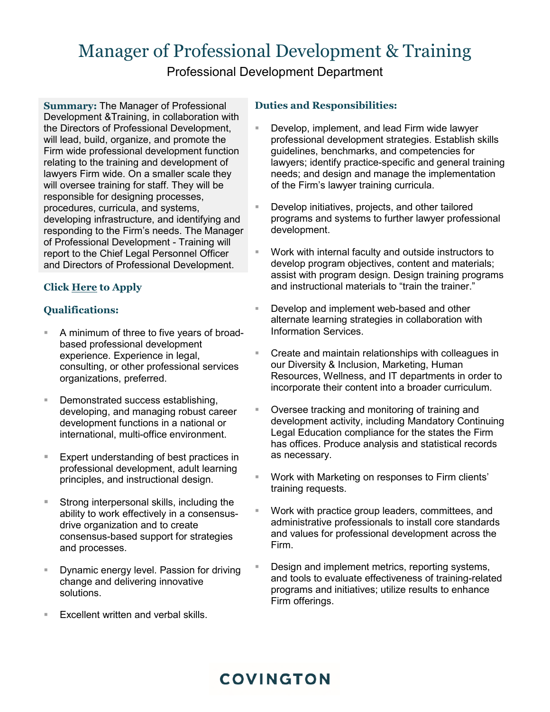# Manager of Professional Development & Training

Professional Development Department

**Summary:** The Manager of Professional Development &Training, in collaboration with the Directors of Professional Development, will lead, build, organize, and promote the Firm wide professional development function relating to the training and development of lawyers Firm wide. On a smaller scale they will oversee training for staff. They will be responsible for designing processes, procedures, curricula, and systems, developing infrastructure, and identifying and responding to the Firm's needs. The Manager of Professional Development - Training will report to the Chief Legal Personnel Officer and Directors of Professional Development.

## **Clic[k Here](mailto:humanresources@cov.com?subject=Manager%20of%20Professional%20Development%20&%20Training%20) to Apply**

## **Qualifications:**

- A minimum of three to five years of broadbased professional development experience. Experience in legal, consulting, or other professional services organizations, preferred.
- **Demonstrated success establishing,** developing, and managing robust career development functions in a national or international, multi-office environment.
- Expert understanding of best practices in professional development, adult learning principles, and instructional design.
- Strong interpersonal skills, including the ability to work effectively in a consensusdrive organization and to create consensus-based support for strategies and processes.
- Dynamic energy level. Passion for driving change and delivering innovative solutions.
- Excellent written and verbal skills.

### **Duties and Responsibilities:**

- Develop, implement, and lead Firm wide lawyer professional development strategies. Establish skills guidelines, benchmarks, and competencies for lawyers; identify practice-specific and general training needs; and design and manage the implementation of the Firm's lawyer training curricula.
- Develop initiatives, projects, and other tailored programs and systems to further lawyer professional development.
- Work with internal faculty and outside instructors to develop program objectives, content and materials; assist with program design. Design training programs and instructional materials to "train the trainer."
- Develop and implement web-based and other alternate learning strategies in collaboration with Information Services.
- Create and maintain relationships with colleagues in our Diversity & Inclusion, Marketing, Human Resources, Wellness, and IT departments in order to incorporate their content into a broader curriculum.
- Oversee tracking and monitoring of training and development activity, including Mandatory Continuing Legal Education compliance for the states the Firm has offices. Produce analysis and statistical records as necessary.
- Work with Marketing on responses to Firm clients' training requests.
- Work with practice group leaders, committees, and administrative professionals to install core standards and values for professional development across the Firm.
- Design and implement metrics, reporting systems, and tools to evaluate effectiveness of training-related programs and initiatives; utilize results to enhance Firm offerings.

## **COVINGTON**